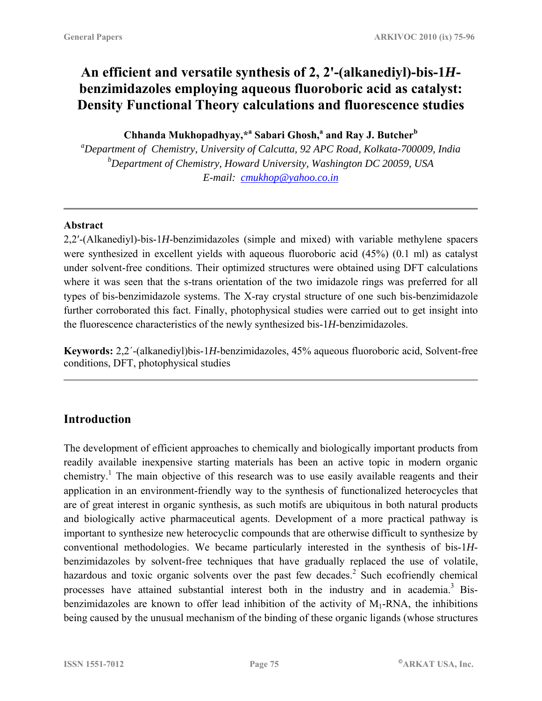# **An efficient and versatile synthesis of 2, 2'-(alkanediyl)-bis-1***H***benzimidazoles employing aqueous fluoroboric acid as catalyst: Density Functional Theory calculations and fluorescence studies**

**Chhanda Mukhopadhyay,\*a Sabari Ghosh,a and Ray J. Butcher<sup>b</sup>**

*a Department of Chemistry, University of Calcutta, 92 APC Road, Kolkata-700009, India b Department of Chemistry, Howard University, Washington DC 20059, USA E-mail: cmukhop@yahoo.co.in*

### **Abstract**

2,2′-(Alkanediyl)-bis-1*H*-benzimidazoles (simple and mixed) with variable methylene spacers were synthesized in excellent yields with aqueous fluoroboric acid (45%) (0.1 ml) as catalyst under solvent-free conditions. Their optimized structures were obtained using DFT calculations where it was seen that the s-trans orientation of the two imidazole rings was preferred for all types of bis-benzimidazole systems. The X-ray crystal structure of one such bis-benzimidazole further corroborated this fact. Finally, photophysical studies were carried out to get insight into the fluorescence characteristics of the newly synthesized bis-1*H*-benzimidazoles.

**Keywords:** 2,2´-(alkanediyl)bis-1*H*-benzimidazoles, 45% aqueous fluoroboric acid, Solvent-free conditions, DFT, photophysical studies

# **Introduction**

The development of efficient approaches to chemically and biologically important products from readily available inexpensive starting materials has been an active topic in modern organic chemistry.<sup>1</sup> The main objective of this research was to use easily available reagents and their application in an environment-friendly way to the synthesis of functionalized heterocycles that are of great interest in organic synthesis, as such motifs are ubiquitous in both natural products and biologically active pharmaceutical agents. Development of a more practical pathway is important to synthesize new heterocyclic compounds that are otherwise difficult to synthesize by conventional methodologies. We became particularly interested in the synthesis of bis-1*H*benzimidazoles by solvent-free techniques that have gradually replaced the use of volatile, hazardous and toxic organic solvents over the past few decades.<sup>2</sup> Such ecofriendly chemical processes have attained substantial interest both in the industry and in academia.<sup>3</sup> Bisbenzimidazoles are known to offer lead inhibition of the activity of  $M_1$ -RNA, the inhibitions being caused by the unusual mechanism of the binding of these organic ligands (whose structures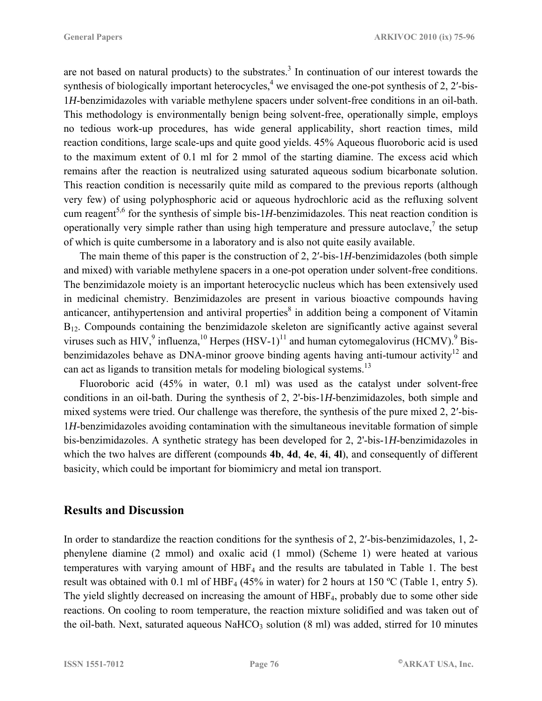are not based on natural products) to the substrates.<sup>3</sup> In continuation of our interest towards the synthesis of biologically important heterocycles,<sup>4</sup> we envisaged the one-pot synthesis of 2, 2'-bis-1*H*-benzimidazoles with variable methylene spacers under solvent-free conditions in an oil-bath. This methodology is environmentally benign being solvent-free, operationally simple, employs no tedious work-up procedures, has wide general applicability, short reaction times, mild reaction conditions, large scale-ups and quite good yields. 45% Aqueous fluoroboric acid is used to the maximum extent of 0.1 ml for 2 mmol of the starting diamine. The excess acid which remains after the reaction is neutralized using saturated aqueous sodium bicarbonate solution. This reaction condition is necessarily quite mild as compared to the previous reports (although very few) of using polyphosphoric acid or aqueous hydrochloric acid as the refluxing solvent cum reagent<sup>5,6</sup> for the synthesis of simple bis-1*H*-benzimidazoles. This neat reaction condition is operationally very simple rather than using high temperature and pressure autoclave,<sup>7</sup> the setup of which is quite cumbersome in a laboratory and is also not quite easily available.

The main theme of this paper is the construction of 2, 2′-bis-1*H*-benzimidazoles (both simple and mixed) with variable methylene spacers in a one-pot operation under solvent-free conditions. The benzimidazole moiety is an important heterocyclic nucleus which has been extensively used in medicinal chemistry. Benzimidazoles are present in various bioactive compounds having anticancer, antihypertension and antiviral properties<sup>8</sup> in addition being a component of Vitamin B<sub>12</sub>. Compounds containing the benzimidazole skeleton are significantly active against several viruses such as HIV,<sup>9</sup> influenza,  $^{10}$  Herpes (HSV-1)<sup>11</sup> and human cytomegalovirus (HCMV).<sup>9</sup> Bisbenzimidazoles behave as DNA-minor groove binding agents having anti-tumour activity<sup>12</sup> and can act as ligands to transition metals for modeling biological systems.<sup>13</sup>

Fluoroboric acid (45% in water, 0.1 ml) was used as the catalyst under solvent-free conditions in an oil-bath. During the synthesis of 2, 2'-bis-1*H*-benzimidazoles, both simple and mixed systems were tried. Our challenge was therefore, the synthesis of the pure mixed 2, 2′-bis-1*H*-benzimidazoles avoiding contamination with the simultaneous inevitable formation of simple bis-benzimidazoles. A synthetic strategy has been developed for 2, 2'-bis-1*H*-benzimidazoles in which the two halves are different (compounds **4b**, **4d**, **4e**, **4i**, **4l**), and consequently of different basicity, which could be important for biomimicry and metal ion transport.

### **Results and Discussion**

In order to standardize the reaction conditions for the synthesis of 2, 2'-bis-benzimidazoles, 1, 2phenylene diamine (2 mmol) and oxalic acid (1 mmol) (Scheme 1) were heated at various temperatures with varying amount of HBF4 and the results are tabulated in Table 1. The best result was obtained with 0.1 ml of HBF<sub>4</sub> (45% in water) for 2 hours at 150 °C (Table 1, entry 5). The yield slightly decreased on increasing the amount of HBF4, probably due to some other side reactions. On cooling to room temperature, the reaction mixture solidified and was taken out of the oil-bath. Next, saturated aqueous NaHCO<sub>3</sub> solution  $(8 \text{ ml})$  was added, stirred for 10 minutes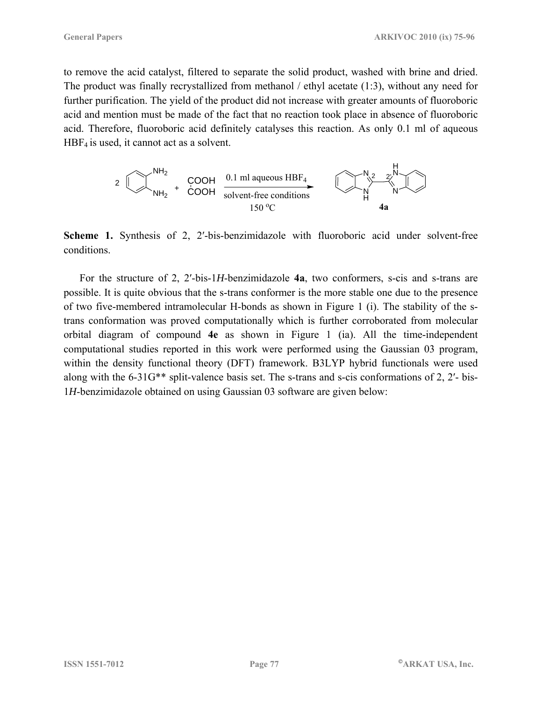to remove the acid catalyst, filtered to separate the solid product, washed with brine and dried. The product was finally recrystallized from methanol / ethyl acetate (1:3), without any need for further purification. The yield of the product did not increase with greater amounts of fluoroboric acid and mention must be made of the fact that no reaction took place in absence of fluoroboric acid. Therefore, fluoroboric acid definitely catalyses this reaction. As only 0.1 ml of aqueous  $HBF<sub>4</sub>$  is used, it cannot act as a solvent.



**Scheme 1.** Synthesis of 2, 2'-bis-benzimidazole with fluoroboric acid under solvent-free conditions.

For the structure of 2, 2′-bis-1*H*-benzimidazole **4a**, two conformers, s-cis and s-trans are possible. It is quite obvious that the s-trans conformer is the more stable one due to the presence of two five-membered intramolecular H-bonds as shown in Figure 1 (i). The stability of the strans conformation was proved computationally which is further corroborated from molecular orbital diagram of compound **4e** as shown in Figure 1 (ia). All the time-independent computational studies reported in this work were performed using the Gaussian 03 program, within the density functional theory (DFT) framework. B3LYP hybrid functionals were used along with the 6-31G\*\* split-valence basis set. The s-trans and s-cis conformations of 2, 2′- bis-1*H*-benzimidazole obtained on using Gaussian 03 software are given below: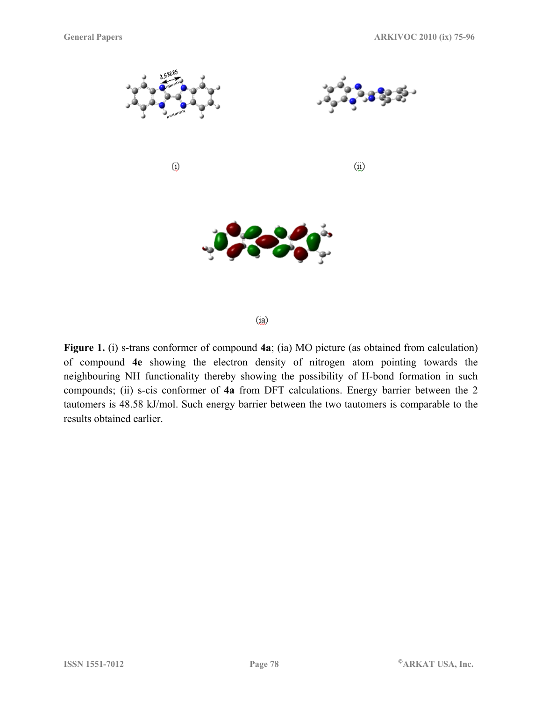

 $(i<sub>a</sub>)$ 

**Figure 1.** (i) s-trans conformer of compound **4a**; (ia) MO picture (as obtained from calculation) of compound **4e** showing the electron density of nitrogen atom pointing towards the neighbouring NH functionality thereby showing the possibility of H-bond formation in such compounds; (ii) s-cis conformer of **4a** from DFT calculations. Energy barrier between the 2 tautomers is 48.58 kJ/mol. Such energy barrier between the two tautomers is comparable to the results obtained earlier.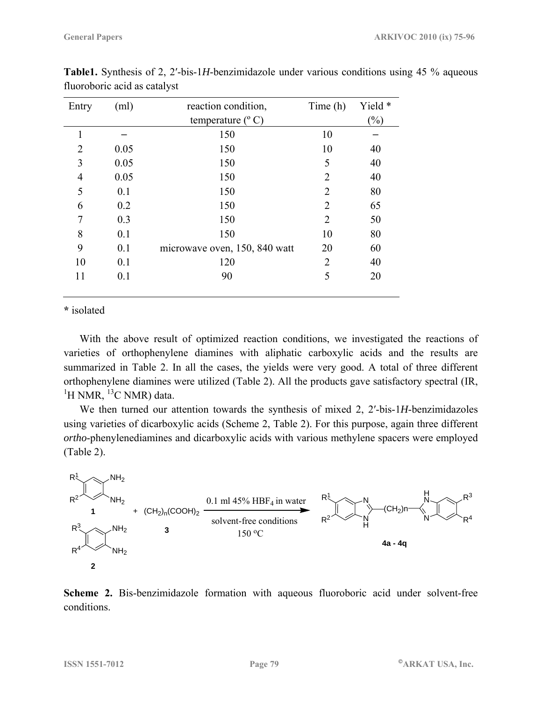| Entry                       | (ml) | reaction condition,           | Time (h)       | Yield *                    |
|-----------------------------|------|-------------------------------|----------------|----------------------------|
|                             |      | temperature $(^{\circ}C)$     |                | $\left(\frac{0}{0}\right)$ |
| 1                           |      | 150                           | 10             |                            |
| $\mathcal{D}_{\mathcal{L}}$ | 0.05 | 150                           | 10             | 40                         |
| 3                           | 0.05 | 150                           | 5              | 40                         |
| 4                           | 0.05 | 150                           | $\overline{2}$ | 40                         |
| 5                           | 0.1  | 150                           | $\overline{2}$ | 80                         |
| 6                           | 0.2  | 150                           | 2              | 65                         |
| 7                           | 0.3  | 150                           | $\overline{2}$ | 50                         |
| 8                           | 0.1  | 150                           | 10             | 80                         |
| 9                           | 0.1  | microwave oven, 150, 840 watt | 20             | 60                         |
| 10                          | 0.1  | 120                           | 2              | 40                         |
| 11                          | 0.1  | 90                            | 5              | 20                         |
|                             |      |                               |                |                            |

**Table1.** Synthesis of 2, 2′-bis-1*H*-benzimidazole under various conditions using 45 % aqueous fluoroboric acid as catalyst

**\*** isolated

With the above result of optimized reaction conditions, we investigated the reactions of varieties of orthophenylene diamines with aliphatic carboxylic acids and the results are summarized in Table 2. In all the cases, the yields were very good. A total of three different orthophenylene diamines were utilized (Table 2). All the products gave satisfactory spectral (IR,  ${}^{1}$ H NMR,  ${}^{13}$ C NMR) data.

We then turned our attention towards the synthesis of mixed 2, 2′-bis-1*H*-benzimidazoles using varieties of dicarboxylic acids (Scheme 2, Table 2). For this purpose, again three different *ortho*-phenylenediamines and dicarboxylic acids with various methylene spacers were employed (Table 2).



**Scheme 2.** Bis-benzimidazole formation with aqueous fluoroboric acid under solvent-free conditions.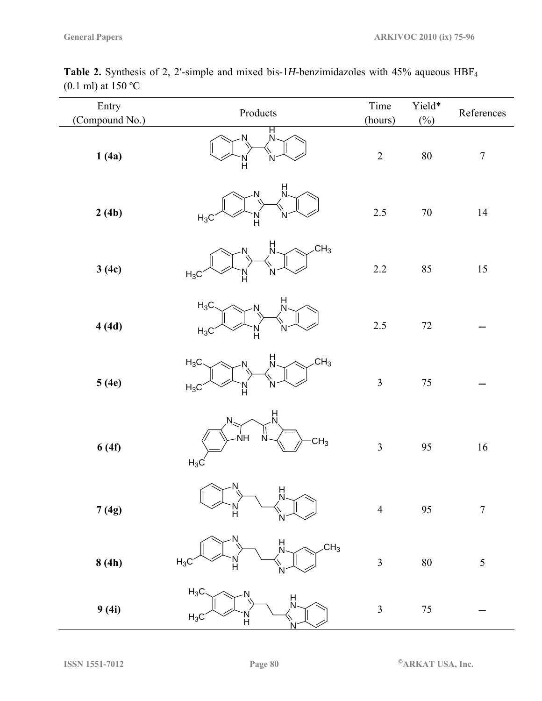| Entry<br>(Compound No.) | Products                                                                      | Time<br>(hours) | Yield*<br>$(\%)$ | References       |
|-------------------------|-------------------------------------------------------------------------------|-----------------|------------------|------------------|
| 1(4a)                   | Н<br>К<br>Ν<br>N<br>N<br>H                                                    | $\overline{2}$  | $80\,$           | $\boldsymbol{7}$ |
| 2(4b)                   | H<br>Ν<br>$H_3C$<br>н                                                         | 2.5             | $70\,$           | 14               |
| 3(4c)                   | $\frac{H}{N}$<br>CH <sub>3</sub><br>N<br>N<br>$H_3C$<br>l)<br>H               | $2.2\,$         | 85               | $15\,$           |
| 4(4d)                   | H<br>N<br>$H_3C$<br><b>N</b><br>$H_3C$<br>N<br>N<br>H                         | 2.5             | $72\,$           |                  |
| 5(4e)                   | H<br>CH <sub>3</sub><br>$H_3C$<br>N<br>N.<br>$H_3C$<br>Н                      | $\mathfrak{Z}$  | $75\,$           |                  |
| 6(4f)                   | $\frac{H}{N}$<br>N<br>$\overrightarrow{NH}$<br>N<br>CH <sub>3</sub><br>$H_3C$ | $\mathfrak{Z}$  | 95               | 16               |
| 7(4g)                   | $\overline{N}$<br>H<br>N<br>H                                                 | $\overline{4}$  | 95               | $\overline{7}$   |
| 8(4h)                   | H<br>N<br>$\overline{C}H_3$<br>$H_3C$<br>N<br>H                               | $\overline{3}$  | $80\,$           | 5                |
| 9(4i)                   | $H_3C$<br>N<br>H<br>N<br>$H_3C$<br>Н                                          | $\mathfrak{Z}$  | $75\,$           |                  |

Table 2. Synthesis of 2, 2'-simple and mixed bis-1H-benzimidazoles with 45% aqueous HBF<sub>4</sub> (0.1 ml) at 150 ºC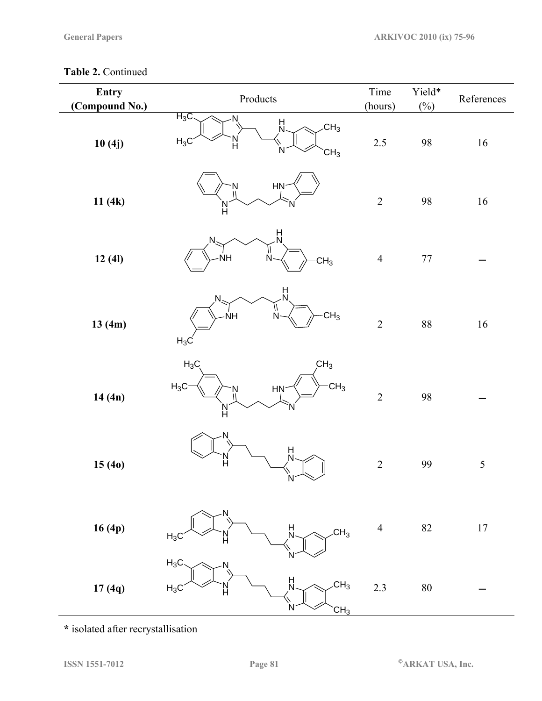# **Table 2.** Continued

| Entry<br>(Compound No.) | Products                                                                             | Time<br>(hours) | Yield*<br>$(\%)$ | References |
|-------------------------|--------------------------------------------------------------------------------------|-----------------|------------------|------------|
| 10(4j)                  | $H_3C$<br>N<br>H<br>N<br>CH <sub>3</sub><br>$H_3C$<br>Ĥ<br>CH <sub>3</sub>           | $2.5\,$         | 98               | $16\,$     |
| 11(4k)                  | $HN-$<br>N<br>ĥ                                                                      | $\sqrt{2}$      | 98               | $16\,$     |
| 12(41)                  | 벘<br>ŃH<br>N<br>CH <sub>3</sub>                                                      | $\overline{4}$  | $77\,$           |            |
| 13(4m)                  | $\frac{\mathsf{H}}{\mathsf{N}}$<br>N<br>CH <sub>3</sub><br>Ñ.<br><b>NH</b><br>$H_3C$ | $\overline{2}$  | $88\,$           | $16\,$     |
| 14(4n)                  | CH <sub>3</sub><br>$H_3C$<br>$\mathsf{CH}_3$<br>$H_3C$<br><b>HN</b><br>Ņ<br>N<br>H   | $\overline{2}$  | 98               |            |
| 15(40)                  | N<br>빘<br>H<br>N                                                                     | $\sqrt{2}$      | 99               | $\sqrt{5}$ |
| 16(4p)                  | N<br>H<br>N<br>CH <sub>3</sub><br>$H_3C$                                             | $\overline{4}$  | 82               | $17\,$     |
| 17(4q)                  | $H_3C$<br>$\frac{H}{N}$<br>CH <sub>3</sub><br>$H_3C$<br>Ν<br>CH <sub>3</sub>         | 2.3             | $80\,$           |            |

**\*** isolated after recrystallisation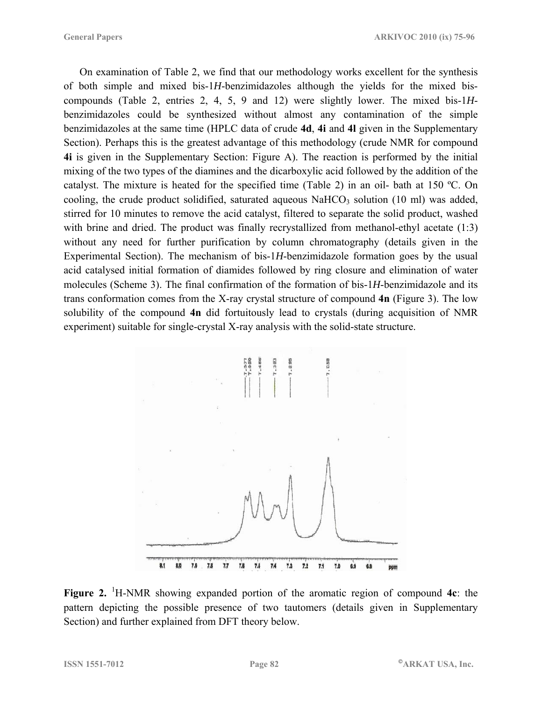On examination of Table 2, we find that our methodology works excellent for the synthesis of both simple and mixed bis-1*H*-benzimidazoles although the yields for the mixed biscompounds (Table 2, entries 2, 4, 5, 9 and 12) were slightly lower. The mixed bis-1*H*benzimidazoles could be synthesized without almost any contamination of the simple benzimidazoles at the same time (HPLC data of crude **4d**, **4i** and **4l** given in the Supplementary Section). Perhaps this is the greatest advantage of this methodology (crude NMR for compound **4i** is given in the Supplementary Section: Figure A). The reaction is performed by the initial mixing of the two types of the diamines and the dicarboxylic acid followed by the addition of the catalyst. The mixture is heated for the specified time (Table 2) in an oil- bath at 150 ºC. On cooling, the crude product solidified, saturated aqueous  $NaHCO<sub>3</sub>$  solution (10 ml) was added, stirred for 10 minutes to remove the acid catalyst, filtered to separate the solid product, washed with brine and dried. The product was finally recrystallized from methanol-ethyl acetate (1:3) without any need for further purification by column chromatography (details given in the Experimental Section). The mechanism of bis-1*H*-benzimidazole formation goes by the usual acid catalysed initial formation of diamides followed by ring closure and elimination of water molecules (Scheme 3). The final confirmation of the formation of bis-1*H*-benzimidazole and its trans conformation comes from the X-ray crystal structure of compound **4n** (Figure 3). The low solubility of the compound **4n** did fortuitously lead to crystals (during acquisition of NMR experiment) suitable for single-crystal X-ray analysis with the solid-state structure.



Figure 2. <sup>1</sup>H-NMR showing expanded portion of the aromatic region of compound 4c: the pattern depicting the possible presence of two tautomers (details given in Supplementary Section) and further explained from DFT theory below.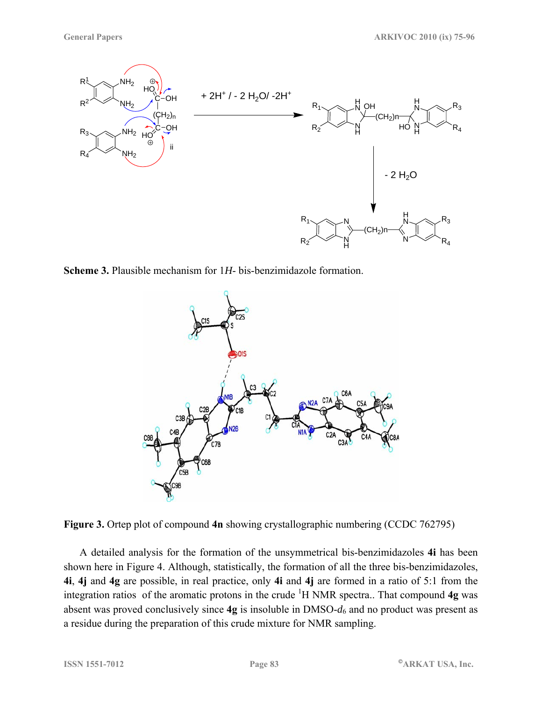

**Scheme 3.** Plausible mechanism for 1*H*- bis-benzimidazole formation.





A detailed analysis for the formation of the unsymmetrical bis-benzimidazoles **4i** has been shown here in Figure 4. Although, statistically, the formation of all the three bis-benzimidazoles, **4i**, **4j** and **4g** are possible, in real practice, only **4i** and **4j** are formed in a ratio of 5:1 from the integration ratios of the aromatic protons in the crude <sup>1</sup> H NMR spectra.. That compound **4g** was absent was proved conclusively since **4g** is insoluble in DMSO-*d*6 and no product was present as a residue during the preparation of this crude mixture for NMR sampling.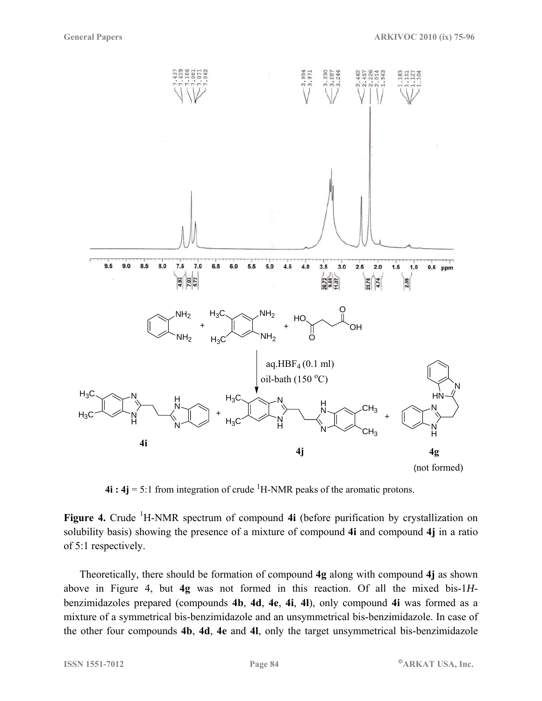

 $4i : 4j = 5:1$  from integration of crude <sup>1</sup>H-NMR peaks of the aromatic protons.

Figure 4. Crude <sup>1</sup>H-NMR spectrum of compound 4i (before purification by crystallization on solubility basis) showing the presence of a mixture of compound **4i** and compound **4j** in a ratio of 5:1 respectively.

Theoretically, there should be formation of compound **4g** along with compound **4j** as shown above in Figure 4, but **4g** was not formed in this reaction. Of all the mixed bis-1*H*benzimidazoles prepared (compounds **4b**, **4d**, **4e**, **4i**, **4l**), only compound **4i** was formed as a mixture of a symmetrical bis-benzimidazole and an unsymmetrical bis-benzimidazole. In case of the other four compounds **4b**, **4d**, **4e** and **4l**, only the target unsymmetrical bis-benzimidazole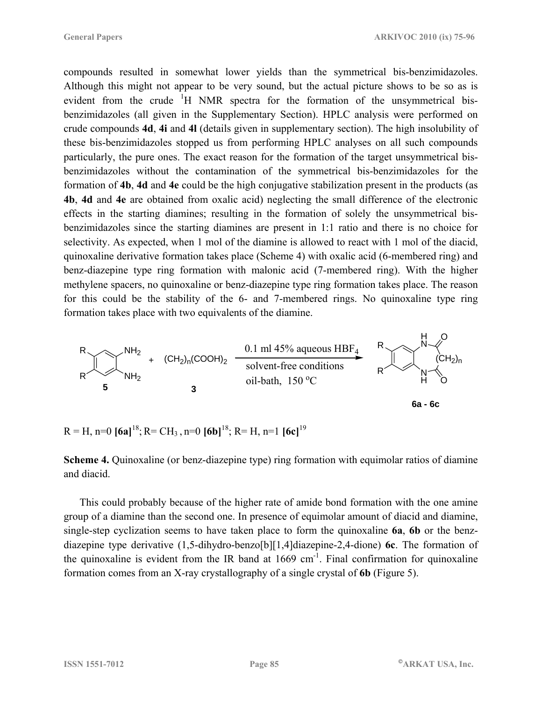compounds resulted in somewhat lower yields than the symmetrical bis-benzimidazoles. Although this might not appear to be very sound, but the actual picture shows to be so as is evident from the crude  ${}^{1}H$  NMR spectra for the formation of the unsymmetrical bisbenzimidazoles (all given in the Supplementary Section). HPLC analysis were performed on crude compounds **4d**, **4i** and **4l** (details given in supplementary section). The high insolubility of these bis-benzimidazoles stopped us from performing HPLC analyses on all such compounds particularly, the pure ones. The exact reason for the formation of the target unsymmetrical bisbenzimidazoles without the contamination of the symmetrical bis-benzimidazoles for the formation of **4b**, **4d** and **4e** could be the high conjugative stabilization present in the products (as **4b**, **4d** and **4e** are obtained from oxalic acid) neglecting the small difference of the electronic effects in the starting diamines; resulting in the formation of solely the unsymmetrical bisbenzimidazoles since the starting diamines are present in 1:1 ratio and there is no choice for selectivity. As expected, when 1 mol of the diamine is allowed to react with 1 mol of the diacid, quinoxaline derivative formation takes place (Scheme 4) with oxalic acid (6-membered ring) and benz-diazepine type ring formation with malonic acid (7-membered ring). With the higher methylene spacers, no quinoxaline or benz-diazepine type ring formation takes place. The reason for this could be the stability of the 6- and 7-membered rings. No quinoxaline type ring formation takes place with two equivalents of the diamine.



 $R = H$ ,  $n=0$  **[6a]**<sup>18</sup>;  $R = CH_3$ ,  $n=0$  **[6b]**<sup>18</sup>;  $R = H$ ,  $n=1$  **[6c]**<sup>19</sup>

**Scheme 4.** Quinoxaline (or benz-diazepine type) ring formation with equimolar ratios of diamine and diacid.

This could probably because of the higher rate of amide bond formation with the one amine group of a diamine than the second one. In presence of equimolar amount of diacid and diamine, single-step cyclization seems to have taken place to form the quinoxaline **6a**, **6b** or the benzdiazepine type derivative (1,5-dihydro-benzo[b][1,4]diazepine-2,4-dione) **6c**. The formation of the quinoxaline is evident from the IR band at  $1669 \text{ cm}^{-1}$ . Final confirmation for quinoxaline formation comes from an X-ray crystallography of a single crystal of **6b** (Figure 5).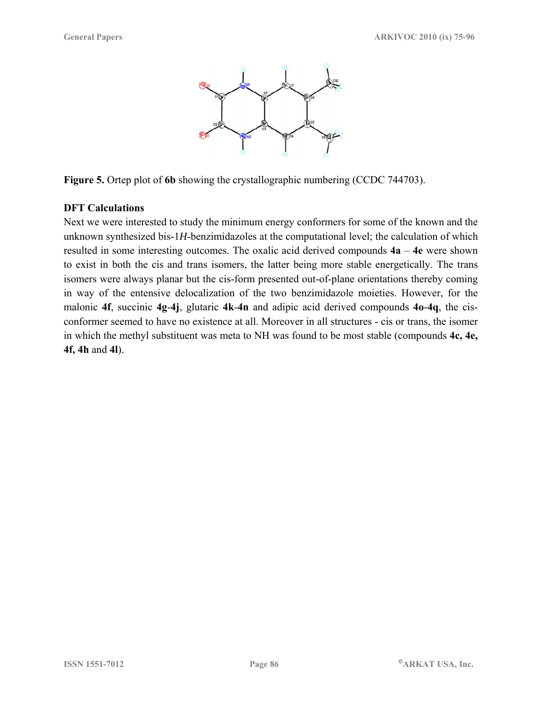

**Figure 5.** Ortep plot of **6b** showing the crystallographic numbering (CCDC 744703).

#### **DFT Calculations**

Next we were interested to study the minimum energy conformers for some of the known and the unknown synthesized bis-1*H*-benzimidazoles at the computational level; the calculation of which resulted in some interesting outcomes. The oxalic acid derived compounds **4a** – **4e** were shown to exist in both the cis and trans isomers, the latter being more stable energetically. The trans isomers were always planar but the cis-form presented out-of-plane orientations thereby coming in way of the entensive delocalization of the two benzimidazole moieties. However, for the malonic **4f**, succinic **4g**-**4j**, glutaric **4k**-**4n** and adipic acid derived compounds **4o**-**4q**, the cisconformer seemed to have no existence at all. Moreover in all structures - cis or trans, the isomer in which the methyl substituent was meta to NH was found to be most stable (compounds **4c, 4e, 4f, 4h** and **4l**).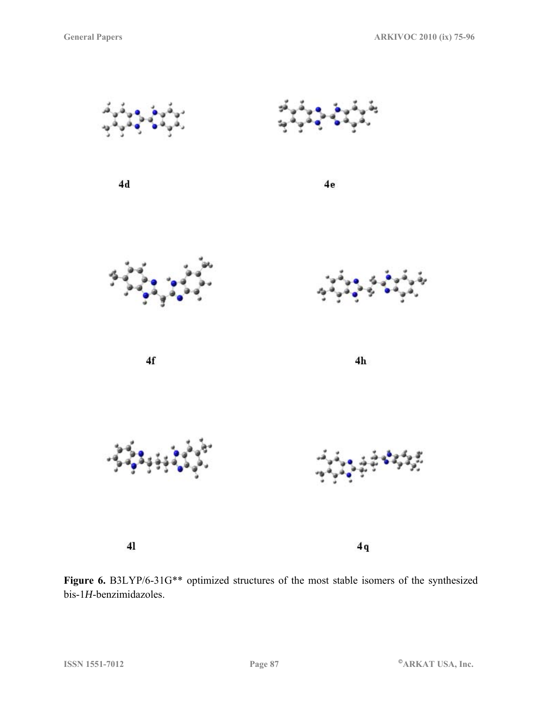

Figure 6. B3LYP/6-31G\*\* optimized structures of the most stable isomers of the synthesized bis-1*H*-benzimidazoles.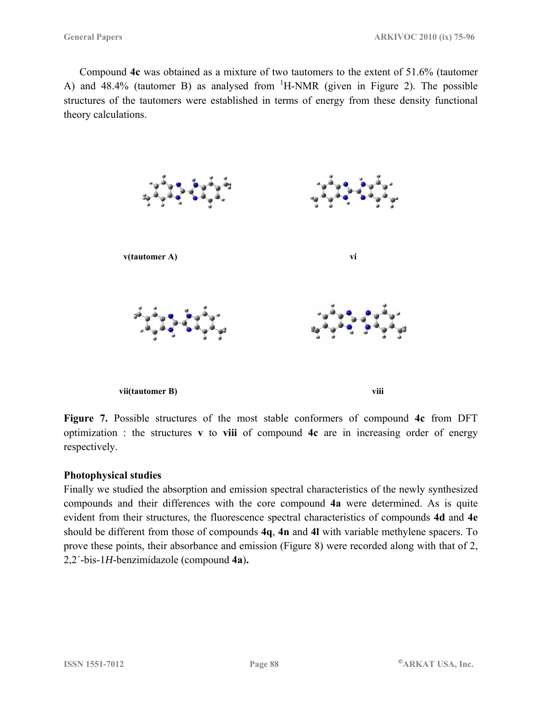Compound **4c** was obtained as a mixture of two tautomers to the extent of 51.6% (tautomer A) and  $48.4\%$  (tautomer B) as analysed from  ${}^{1}$ H-NMR (given in Figure 2). The possible structures of the tautomers were established in terms of energy from these density functional theory calculations.



**Figure 7.** Possible structures of the most stable conformers of compound **4c** from DFT optimization : the structures **v** to **viii** of compound **4c** are in increasing order of energy respectively.

#### **Photophysical studies**

Finally we studied the absorption and emission spectral characteristics of the newly synthesized compounds and their differences with the core compound **4a** were determined. As is quite evident from their structures, the fluorescence spectral characteristics of compounds **4d** and **4e** should be different from those of compounds **4q**, **4n** and **4l** with variable methylene spacers. To prove these points, their absorbance and emission (Figure 8) were recorded along with that of 2, 2,2´-bis-1*H*-benzimidazole (compound **4a**)**.**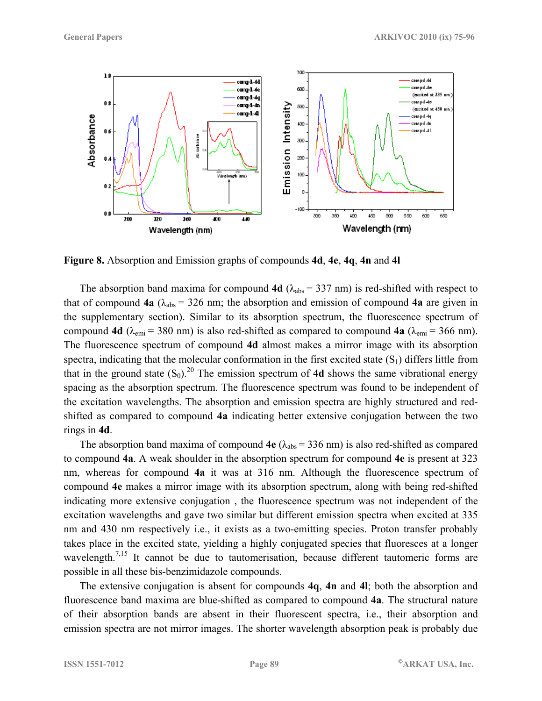

**Figure 8.** Absorption and Emission graphs of compounds **4d**, **4e**, **4q**, **4n** and **4l**

The absorption band maxima for compound **4d**  $(\lambda_{abs} = 337 \text{ nm})$  is red-shifted with respect to that of compound **4a** ( $\lambda_{\text{abs}}$  = 326 nm; the absorption and emission of compound **4a** are given in the supplementary section). Similar to its absorption spectrum, the fluorescence spectrum of compound **4d** ( $\lambda_{\text{emi}} = 380 \text{ nm}$ ) is also red-shifted as compared to compound **4a** ( $\lambda_{\text{emi}} = 366 \text{ nm}$ ). The fluorescence spectrum of compound **4d** almost makes a mirror image with its absorption spectra, indicating that the molecular conformation in the first excited state  $(S_1)$  differs little from that in the ground state  $(S_0)$ <sup>20</sup>. The emission spectrum of 4d shows the same vibrational energy spacing as the absorption spectrum. The fluorescence spectrum was found to be independent of the excitation wavelengths. The absorption and emission spectra are highly structured and redshifted as compared to compound **4a** indicating better extensive conjugation between the two rings in **4d**.

The absorption band maxima of compound  $4e (\lambda_{abs} = 336 \text{ nm})$  is also red-shifted as compared to compound **4a**. A weak shoulder in the absorption spectrum for compound **4e** is present at 323 nm, whereas for compound **4a** it was at 316 nm. Although the fluorescence spectrum of compound **4e** makes a mirror image with its absorption spectrum, along with being red-shifted indicating more extensive conjugation , the fluorescence spectrum was not independent of the excitation wavelengths and gave two similar but different emission spectra when excited at 335 nm and 430 nm respectively i.e., it exists as a two-emitting species. Proton transfer probably takes place in the excited state, yielding a highly conjugated species that fluoresces at a longer wavelength.<sup>7,15</sup> It cannot be due to tautomerisation, because different tautomeric forms are possible in all these bis-benzimidazole compounds.

The extensive conjugation is absent for compounds **4q**, **4n** and **4l**; both the absorption and fluorescence band maxima are blue-shifted as compared to compound **4a**. The structural nature of their absorption bands are absent in their fluorescent spectra, i.e., their absorption and emission spectra are not mirror images. The shorter wavelength absorption peak is probably due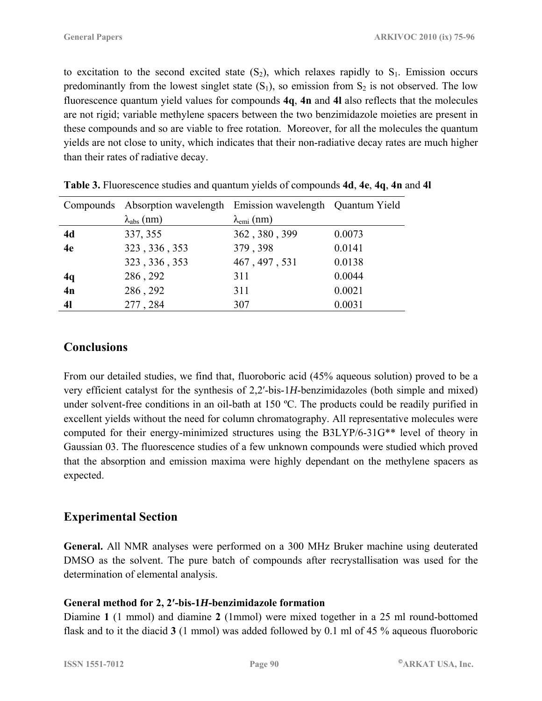to excitation to the second excited state  $(S_2)$ , which relaxes rapidly to  $S_1$ . Emission occurs predominantly from the lowest singlet state  $(S_1)$ , so emission from  $S_2$  is not observed. The low fluorescence quantum yield values for compounds **4q**, **4n** and **4l** also reflects that the molecules are not rigid; variable methylene spacers between the two benzimidazole moieties are present in these compounds and so are viable to free rotation. Moreover, for all the molecules the quantum yields are not close to unity, which indicates that their non-radiative decay rates are much higher than their rates of radiative decay.

|                | Compounds Absorption wavelength Emission wavelength Quantum Yield |                             |        |
|----------------|-------------------------------------------------------------------|-----------------------------|--------|
|                | $\lambda_{\text{abs}}$ (nm)                                       | $\lambda_{\text{emi}}$ (nm) |        |
| 4d             | 337, 355                                                          | 362, 380, 399               | 0.0073 |
| 4e             | 323, 336, 353                                                     | 379, 398                    | 0.0141 |
|                | 323, 336, 353                                                     | 467, 497, 531               | 0.0138 |
| 4q             | 286, 292                                                          | 311                         | 0.0044 |
| 4n             | 286, 292                                                          | 311                         | 0.0021 |
| 4 <sub>l</sub> | 277, 284                                                          | 307                         | 0.0031 |

**Table 3.** Fluorescence studies and quantum yields of compounds **4d**, **4e**, **4q**, **4n** and **4l** 

# **Conclusions**

From our detailed studies, we find that, fluoroboric acid (45% aqueous solution) proved to be a very efficient catalyst for the synthesis of 2,2′-bis-1*H*-benzimidazoles (both simple and mixed) under solvent-free conditions in an oil-bath at 150 °C. The products could be readily purified in excellent yields without the need for column chromatography. All representative molecules were computed for their energy-minimized structures using the B3LYP/6-31G\*\* level of theory in Gaussian 03. The fluorescence studies of a few unknown compounds were studied which proved that the absorption and emission maxima were highly dependant on the methylene spacers as expected.

# **Experimental Section**

**General.** All NMR analyses were performed on a 300 MHz Bruker machine using deuterated DMSO as the solvent. The pure batch of compounds after recrystallisation was used for the determination of elemental analysis.

### **General method for 2, 2′-bis-1***H***-benzimidazole formation**

Diamine **1** (1 mmol) and diamine **2** (1mmol) were mixed together in a 25 ml round-bottomed flask and to it the diacid **3** (1 mmol) was added followed by 0.1 ml of 45 % aqueous fluoroboric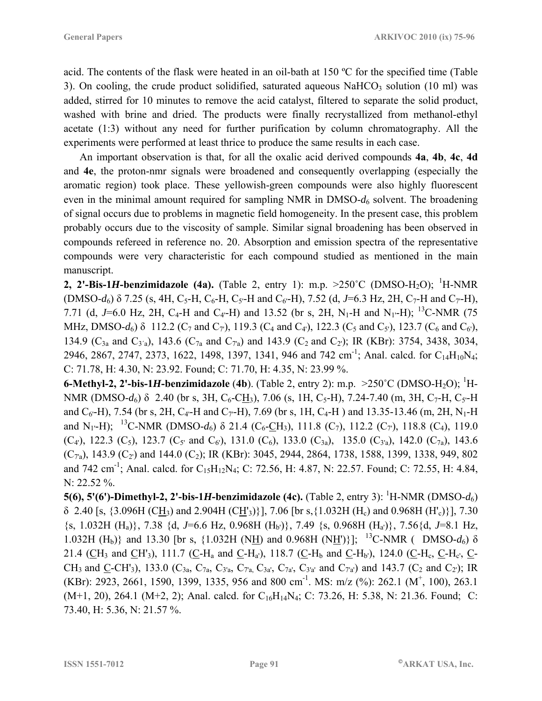acid. The contents of the flask were heated in an oil-bath at 150 ºC for the specified time (Table 3). On cooling, the crude product solidified, saturated aqueous  $NaHCO<sub>3</sub>$  solution (10 ml) was added, stirred for 10 minutes to remove the acid catalyst, filtered to separate the solid product, washed with brine and dried. The products were finally recrystallized from methanol-ethyl acetate (1:3) without any need for further purification by column chromatography. All the experiments were performed at least thrice to produce the same results in each case.

An important observation is that, for all the oxalic acid derived compounds **4a**, **4b**, **4c**, **4d** and **4e**, the proton-nmr signals were broadened and consequently overlapping (especially the aromatic region) took place. These yellowish-green compounds were also highly fluorescent even in the minimal amount required for sampling NMR in  $DMSO-d_6$  solvent. The broadening of signal occurs due to problems in magnetic field homogeneity. In the present case, this problem probably occurs due to the viscosity of sample. Similar signal broadening has been observed in compounds refereed in reference no. 20. Absorption and emission spectra of the representative compounds were very characteristic for each compound studied as mentioned in the main manuscript.

**2, 2'-Bis-1***H***-benzimidazole (4a).** (Table 2, entry 1): m.p.  $>250^{\circ}$ C (DMSO-H<sub>2</sub>O); <sup>1</sup>H-NMR  $(DMSO-d<sub>6</sub>)$  δ 7.25 (s, 4H, C<sub>5</sub>-H, C<sub>6</sub>-H, C<sub>5</sub><sup>-</sup>H and C<sub>6</sub><sup>-H</sup>), 7.52 (d, *J*=6.3 Hz, 2H, C<sub>7</sub>-H and C<sub>7</sub><sup>-H</sup>), 7.71 (d, J=6.0 Hz, 2H, C<sub>4</sub>-H and C<sub>4</sub>-H) and 13.52 (br s, 2H, N<sub>1</sub>-H and N<sub>1</sub>-H); <sup>13</sup>C-NMR (75 MHz, DMSO- $d_6$ )  $\delta$  112.2 (C<sub>7</sub> and C<sub>7</sub>'), 119.3 (C<sub>4</sub> and C<sub>4</sub>'), 122.3 (C<sub>5</sub> and C<sub>5</sub>'), 123.7 (C<sub>6</sub> and C<sub>6</sub>'), 134.9 ( $C_{3a}$  and  $C_{3'a}$ ), 143.6 ( $C_{7a}$  and  $C_{7a}$ ) and 143.9 ( $C_2$  and  $C_2$ ); IR (KBr): 3754, 3438, 3034, 2946, 2867, 2747, 2373, 1622, 1498, 1397, 1341, 946 and 742 cm<sup>-1</sup>; Anal. calcd. for C<sub>14</sub>H<sub>10</sub>N<sub>4</sub>; C: 71.78, H: 4.30, N: 23.92. Found; C: 71.70, H: 4.35, N: 23.99 %.

**6-Methyl-2, 2'-bis-1***H***-benzimidazole** (4b). (Table 2, entry 2): m.p.  $>250^{\circ}$ C (DMSO-H<sub>2</sub>O); <sup>1</sup>H-NMR (DMSO-*d*<sub>6</sub>) δ 2.40 (br s, 3H, C<sub>6</sub>-CH<sub>3</sub>), 7.06 (s, 1H, C<sub>5</sub>-H), 7.24-7.40 (m, 3H, C<sub>7</sub>-H, C<sub>5</sub>-H and  $C_6$ -H), 7.54 (br s, 2H, C<sub>4</sub>-H and C<sub>7</sub>-H), 7.69 (br s, 1H, C<sub>4</sub>-H) and 13.35-13.46 (m, 2H, N<sub>1</sub>-H) and N<sub>1</sub> $\cdot$ H); <sup>13</sup>C-NMR (DMSO-*d*<sub>6</sub>) δ 21.4 (C<sub>6</sub>-CH<sub>3</sub>), 111.8 (C<sub>7</sub>), 112.2 (C<sub>7</sub>), 118.8 (C<sub>4</sub>), 119.0  $(C_4)$ , 122.3  $(C_5)$ , 123.7  $(C_5'$  and  $C_6$ ), 131.0  $(C_6)$ , 133.0  $(C_{3a})$ , 135.0  $(C_{3'a})$ , 142.0  $(C_{7a})$ , 143.6  $(C_{7a})$ , 143.9  $(C_2)$  and 144.0  $(C_2)$ ; IR (KBr): 3045, 2944, 2864, 1738, 1588, 1399, 1338, 949, 802 and 742 cm<sup>-1</sup>; Anal. calcd. for C<sub>15</sub>H<sub>12</sub>N<sub>4</sub>; C: 72.56, H: 4.87, N: 22.57. Found; C: 72.55, H: 4.84, N: 22.52 %.

**5(6), 5'(6')-Dimethyl-2, 2'-bis-1***H***-benzimidazole (4c).** (Table 2, entry 3): <sup>1</sup> H-NMR (DMSO-*d*6)  $\delta$  2.40 [s, {3.096H (CH<sub>3</sub>) and 2.904H (CH<sub>3</sub>)}], 7.06 [br s, {1.032H (H<sub>c</sub>) and 0.968H (H<sub>c</sub>)}], 7.30  $\{s, 1.032H (H<sub>a</sub>)\}, 7.38 \{d, J=6.6 Hz, 0.968H (H<sub>b</sub>)\}, 7.49 \{s, 0.968H (H<sub>a</sub>)\}, 7.56\{d, J=8.1 Hz,$ 1.032H (H<sub>b</sub>)} and 13.30 [br s, {1.032H (N<u>H</u>) and 0.968H (N<u>H'</u>)}]; <sup>13</sup>C-NMR ( DMSO- $d_6$ )  $\delta$ 21.4 (CH<sub>3</sub> and CH'<sub>3</sub>), 111.7 (C-H<sub>a</sub> and C-H<sub>a'</sub>), 118.7 (C-H<sub>b</sub> and C-H<sub>b</sub>'), 124.0 (C-H<sub>c</sub>, C-H<sub>c</sub>', C-CH<sub>3</sub> and <u>C</u>-CH'<sub>3</sub>), 133.0 (C<sub>3a</sub>, C<sub>7a</sub>, C<sub>3'a</sub>, C<sub>7'a,</sub> C<sub>3'a</sub>', C<sub>7'a</sub>', C<sub>3'a</sub>' and C<sub>7'a</sub>') and 143.7 (C<sub>2</sub> and C<sub>2</sub>'); IR (KBr): 2923, 2661, 1590, 1399, 1335, 956 and 800 cm<sup>-1</sup>. MS: m/z (%): 262.1 (M<sup>+</sup>, 100), 263.1  $(M+1, 20)$ , 264.1  $(M+2, 2)$ ; Anal. calcd. for  $C_{16}H_{14}N_4$ ; C: 73.26, H: 5.38, N: 21.36. Found; C: 73.40, H: 5.36, N: 21.57 %.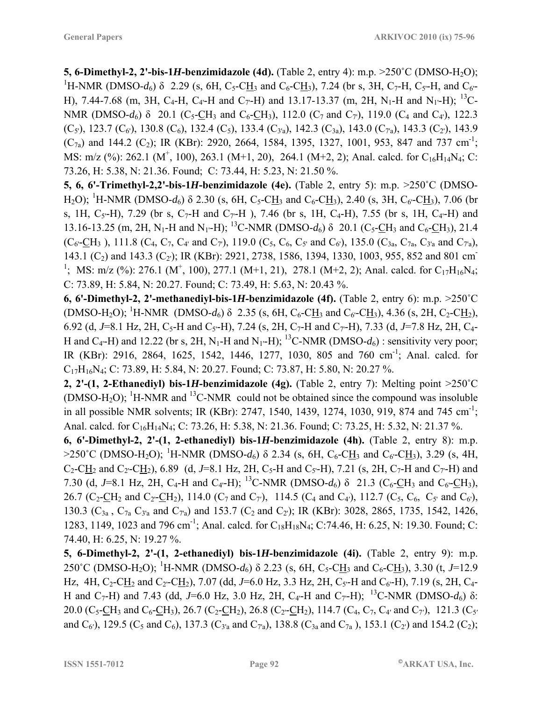**5, 6-Dimethyl-2, 2'-bis-1***H***-benzimidazole (4d).** (Table 2, entry 4): m.p.  $>250^{\circ}$ C (DMSO-H<sub>2</sub>O); <sup>1</sup>H-NMR (DMSO-*d*<sub>6</sub>) δ 2.29 (s, 6H, C<sub>5</sub>-C<u>H</u><sub>3</sub> and C<sub>6</sub>-C<u>H</u><sub>3</sub>), 7.24 (br s, 3H, C<sub>7</sub>-H, C<sub>5</sub>-H, and C<sub>6</sub>-H), 7.44-7.68 (m, 3H, C<sub>4</sub>-H, C<sub>4</sub>-H and C<sub>7</sub>-H) and 13.17-13.37 (m, 2H, N<sub>1</sub>-H and N<sub>1</sub>-H); <sup>13</sup>C-NMR (DMSO- $d_6$ )  $\delta$  20.1 (C<sub>5</sub>-CH<sub>3</sub>) and C<sub>6</sub>-CH<sub>3</sub>), 112.0 (C<sub>7</sub> and C<sub>7</sub>), 119.0 (C<sub>4</sub> and C<sub>4</sub>), 122.3  $(C_5)$ , 123.7  $(C_6)$ , 130.8  $(C_6)$ , 132.4  $(C_5)$ , 133.4  $(C_3)$ , 142.3  $(C_3)$ , 143.0  $(C_7)$ , 143.3  $(C_2)$ , 143.9  $(C_{7a})$  and 144.2  $(C_2)$ ; IR (KBr): 2920, 2664, 1584, 1395, 1327, 1001, 953, 847 and 737 cm<sup>-1</sup>; MS: m/z (%): 262.1 (M<sup>+</sup>, 100), 263.1 (M+1, 20), 264.1 (M+2, 2); Anal. calcd. for C<sub>16</sub>H<sub>14</sub>N<sub>4</sub>; C: 73.26, H: 5.38, N: 21.36. Found; C: 73.44, H: 5.23, N: 21.50 %.

**5, 6, 6'-Trimethyl-2,2'-bis-1***H***-benzimidazole (4e).** (Table 2, entry 5): m.p. >250˚C (DMSO-H<sub>2</sub>O); <sup>1</sup>H-NMR (DMSO-d<sub>6</sub>) δ 2.30 (s, 6H, C<sub>5</sub>-C<u>H</u><sub>3</sub> and C<sub>6</sub>-C<u>H</u><sub>3</sub>), 2.40 (s, 3H, C<sub>6</sub>-C<u>H</u><sub>3</sub>), 7.06 (br s, 1H,  $C_5$ -H), 7.29 (br s,  $C_7$ -H and  $C_7$ -H), 7.46 (br s, 1H,  $C_4$ -H), 7.55 (br s, 1H,  $C_4$ -H) and 13.16-13.25 (m, 2H, N<sub>1</sub>-H and N<sub>1'</sub>-H); <sup>13</sup>C-NMR (DMSO- $d_6$ )  $\delta$  20.1 (C<sub>5</sub>-CH<sub>3</sub> and C<sub>6</sub>-CH<sub>3</sub>), 21.4  $(C_6$ -CH<sub>3</sub>), 111.8 (C<sub>4</sub>, C<sub>7</sub>, C<sub>4'</sub> and C<sub>7</sub>'), 119.0 (C<sub>5</sub>, C<sub>6</sub>, C<sub>5'</sub> and C<sub>6</sub>'), 135.0 (C<sub>3a</sub>, C<sub>7a</sub>, C<sub>3'a</sub> and C<sub>7'a</sub>), 143.1 (C<sub>2</sub>) and 143.3 (C<sub>2</sub>); IR (KBr): 2921, 2738, 1586, 1394, 1330, 1003, 955, 852 and 801 cm<sup>-</sup> <sup>1</sup>; MS: m/z (%): 276.1 (M<sup>+</sup>, 100), 277.1 (M+1, 21), 278.1 (M+2, 2); Anal. calcd. for C<sub>17</sub>H<sub>16</sub>N<sub>4</sub>; C: 73.89, H: 5.84, N: 20.27. Found; C: 73.49, H: 5.63, N: 20.43 %.

**6, 6'-Dimethyl-2, 2'-methanediyl-bis-1***H***-benzimidazole (4f).** (Table 2, entry 6): m.p. >250˚C  $(DMSO-H_2O)$ ; <sup>1</sup>H-NMR (DMSO- $d_6$ )  $\delta$  2.35 (s, 6H, C<sub>6</sub>-C<u>H</u><sub>3</sub> and C<sub>6</sub>-C<u>H</u><sub>3</sub>), 4.36 (s, 2H, C<sub>2</sub>-C<u>H<sub>2</sub>)</u>, 6.92 (d, J=8.1 Hz, 2H, C<sub>5</sub>-H and C<sub>5</sub>-H), 7.24 (s, 2H, C<sub>7</sub>-H and C<sub>7</sub>-H), 7.33 (d, J=7.8 Hz, 2H, C<sub>4</sub>-H and C<sub>4</sub> $-H$ ) and 12.22 (br s, 2H, N<sub>1</sub>-H and N<sub>1</sub> $-H$ ); <sup>13</sup>C-NMR (DMSO- $d_6$ ) : sensitivity very poor; IR (KBr): 2916, 2864, 1625, 1542, 1446, 1277, 1030, 805 and 760 cm<sup>-1</sup>; Anal. calcd. for C17H16N4; C: 73.89, H: 5.84, N: 20.27. Found; C: 73.87, H: 5.80, N: 20.27 %.

**2, 2'-(1, 2-Ethanediyl) bis-1***H***-benzimidazole (4g).** (Table 2, entry 7): Melting point >250˚C  $(DMSO-H<sub>2</sub>O)$ ; <sup>1</sup>H-NMR and <sup>13</sup>C-NMR could not be obtained since the compound was insoluble in all possible NMR solvents; IR (KBr): 2747, 1540, 1439, 1274, 1030, 919, 874 and 745 cm<sup>-1</sup>; Anal. calcd. for C<sub>16</sub>H<sub>14</sub>N<sub>4</sub>; C: 73.26, H: 5.38, N: 21.36. Found; C: 73.25, H: 5.32, N: 21.37 %.

**6, 6'-Dimethyl-2, 2'-(1, 2-ethanediyl) bis-1***H***-benzimidazole (4h).** (Table 2, entry 8): m.p. >250°C (DMSO-H<sub>2</sub>O); <sup>1</sup>H-NMR (DMSO-d<sub>6</sub>) δ 2.34 (s, 6H, C<sub>6</sub>-C<u>H</u><sub>3</sub> and C<sub>6</sub>-C<u>H</u><sub>3</sub>), 3.29 (s, 4H,  $C_2$ -CH<sub>2</sub> and C<sub>2</sub>-CH<sub>2</sub>), 6.89 (d, J=8.1 Hz, 2H, C<sub>5</sub>-H and C<sub>5</sub>-H), 7.21 (s, 2H, C<sub>7</sub>-H and C<sub>7'</sub>-H) and 7.30 (d, J=8.1 Hz, 2H, C<sub>4</sub>-H and C<sub>4</sub>-H); <sup>13</sup>C-NMR (DMSO- $d_6$ )  $\delta$  21.3 (C<sub>6</sub>-CH<sub>3</sub> and C<sub>6</sub>-CH<sub>3</sub>), 26.7 (C<sub>2</sub>-CH<sub>2</sub> and C<sub>2</sub>-CH<sub>2</sub>), 114.0 (C<sub>7</sub> and C<sub>7</sub><sup>'</sup>), 114.5 (C<sub>4</sub> and C<sub>4</sub><sup>'</sup>), 112.7 (C<sub>5</sub>, C<sub>6</sub>, C<sub>5</sub>' and C<sub>6</sub><sup>'</sup>), 130.3 ( $C_{3a}$ ,  $C_{7a}$   $C_{3'a}$  and  $C_{7a}$ ) and 153.7 ( $C_2$  and  $C_2$ ); IR (KBr): 3028, 2865, 1735, 1542, 1426, 1283, 1149, 1023 and 796 cm<sup>-1</sup>; Anal. calcd. for C<sub>18</sub>H<sub>18</sub>N<sub>4</sub>; C:74.46, H: 6.25, N: 19.30. Found; C: 74.40, H: 6.25, N: 19.27 %.

**5, 6-Dimethyl-2, 2'-(1, 2-ethanediyl) bis-1***H***-benzimidazole (4i).** (Table 2, entry 9): m.p. 250°C (DMSO-H<sub>2</sub>O); <sup>1</sup>H-NMR (DMSO-d<sub>6</sub>) δ 2.23 (s, 6H, C<sub>5</sub>-C<u>H</u><sub>3</sub> and C<sub>6</sub>-C<u>H</u><sub>3</sub>), 3.30 (t, *J*=12.9 Hz, 4H, C<sub>2</sub>-CH<sub>2</sub> and C<sub>2</sub>-CH<sub>2</sub>), 7.07 (dd, J=6.0 Hz, 3.3 Hz, 2H, C<sub>5</sub><sup>-</sup>H and C<sub>6</sub><sup>-</sup>H), 7.19 (s, 2H, C<sub>4</sub>-H and C<sub>7</sub>-H) and 7.43 (dd, J=6.0 Hz, 3.0 Hz, 2H, C<sub>4'</sub>-H and C<sub>7'</sub>-H);<sup>13</sup>C-NMR (DMSO-*d*<sub>6</sub>) δ: 20.0 (C<sub>5</sub>-CH<sub>3</sub> and C<sub>6</sub>-CH<sub>3</sub>), 26.7 (C<sub>2</sub>-CH<sub>2</sub>), 26.8 (C<sub>2</sub>-CH<sub>2</sub>), 114.7 (C<sub>4</sub>, C<sub>7</sub>, C<sub>4</sub><sup>*'*</sup> and C<sub>7</sub><sup>'</sup>), 121.3 (C<sub>5</sub><sup>*'*</sup>) and C<sub>6</sub>'), 129.5 (C<sub>5</sub> and C<sub>6</sub>), 137.3 (C<sub>3'a</sub> and C<sub>7'a</sub>), 138.8 (C<sub>3a</sub> and C<sub>7a</sub>), 153.1 (C<sub>2</sub>') and 154.2 (C<sub>2</sub>);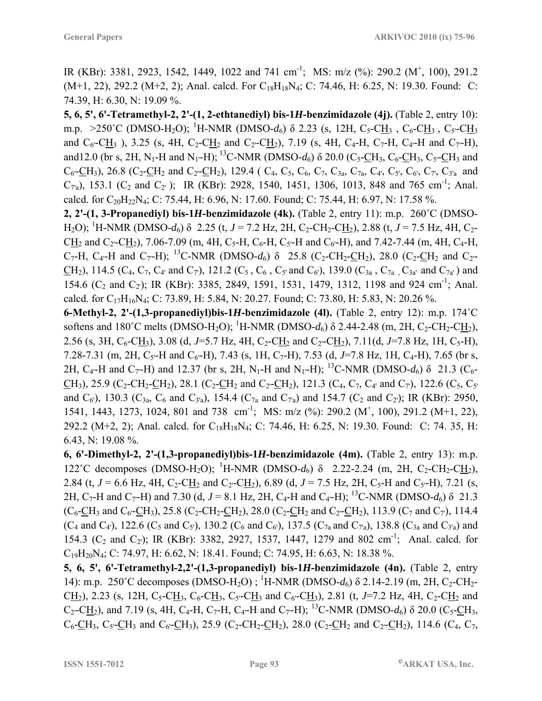IR (KBr): 3381, 2923, 1542, 1449, 1022 and 741 cm<sup>-1</sup>; MS: m/z (%): 290.2 (M<sup>+</sup>, 100), 291.2  $(M+1, 22)$ , 292.2  $(M+2, 2)$ ; Anal. calcd. For C<sub>18</sub>H<sub>18</sub>N<sub>4</sub>; C: 74.46, H: 6.25, N: 19.30. Found: C: 74.39, H: 6.30, N: 19.09 %.

**5, 6, 5', 6'-Tetramethyl-2, 2'-(1, 2-ethtanediyl) bis-1***H***-benzimidazole (4j).** (Table 2, entry 10): m.p. >250°C (DMSO-H<sub>2</sub>O); <sup>1</sup>H-NMR (DMSO-d<sub>6</sub>) δ 2.23 (s, 12H, C<sub>5</sub>-C<u>H</u>3 , C<sub>6</sub>-C<u>H</u>3 , C<sub>5'</sub>-C<u>H</u>3 and  $C_6$ -CH<sub>3</sub>), 3.25 (s, 4H, C<sub>2</sub>-CH<sub>2</sub> and C<sub>2</sub>-CH<sub>2</sub>), 7.19 (s, 4H, C<sub>4</sub>-H, C<sub>7</sub>-H, C<sub>4</sub>-H and C<sub>7</sub>-H), and 12.0 (br s, 2H, N<sub>1</sub>-H and N<sub>1'</sub>-H); <sup>13</sup>C-NMR (DMSO- $d_6$ )  $\delta$  20.0 (C<sub>5</sub>-CH<sub>3</sub>, C<sub>6</sub>-CH<sub>3</sub>, C<sub>5</sub><sup>-</sup>CH<sub>3</sub> and  $C_6$ -CH<sub>3</sub>), 26.8 (C<sub>2</sub>-CH<sub>2</sub> and C<sub>2</sub>-CH<sub>2</sub>), 129.4 ( C<sub>4</sub>, C<sub>5</sub>, C<sub>6</sub>, C<sub>7</sub>, C<sub>3a</sub>, C<sub>7a</sub>, C<sub>4</sub>', C<sub>5</sub>', C<sub>6</sub>', C<sub>7</sub>', C<sub>3'a</sub> and  $C_{7a}$ ), 153.1 ( $C_2$  and  $C_2$ ); IR (KBr): 2928, 1540, 1451, 1306, 1013, 848 and 765 cm<sup>-1</sup>; Anal. calcd. for C<sub>20</sub>H<sub>22</sub>N<sub>4</sub>; C: 75.44, H: 6.96, N: 17.60. Found; C: 75.44, H: 6.97, N: 17.58 %.

**2, 2'-(1, 3-Propanediyl) bis-1***H***-benzimidazole (4k).** (Table 2, entry 11): m.p. 260˚C (DMSO-H<sub>2</sub>O); <sup>1</sup>H-NMR (DMSO-d<sub>6</sub>) δ 2.25 (t, *J* = 7.2 Hz, 2H, C<sub>2</sub>-CH<sub>2</sub>-C<u>H</u><sub>2</sub>), 2.88 (t, *J* = 7.5 Hz, 4H, C<sub>2</sub>-CH<sub>2</sub> and C<sub>2</sub>-CH<sub>2</sub>), 7.06-7.09 (m, 4H, C<sub>5</sub>-H, C<sub>6</sub>-H, C<sub>5</sub><sup>-</sup>H and C<sub>6</sub><sup>-</sup>H), and 7.42-7.44 (m, 4H, C<sub>4</sub>-H,  $C_7$ -H,  $C_4$ -H and  $C_7$ -H); <sup>13</sup>C-NMR (DMSO- $d_6$ )  $\delta$  25.8 (C<sub>2</sub>-CH<sub>2</sub>-CH<sub>2</sub>), 28.0 (C<sub>2</sub>-CH<sub>2</sub> and C<sub>2</sub>-CH<sub>2</sub>), 114.5 (C<sub>4</sub>, C<sub>7</sub>, C<sub>4'</sub> and C<sub>7</sub>), 121.2 (C<sub>5</sub>, C<sub>6</sub>, C<sub>5</sub>' and C<sub>6</sub>'), 139.0 (C<sub>3a</sub>, C<sub>7a</sub>), C<sub>3a</sub>' and C<sub>7a</sub>') and 154.6 ( $C_2$  and  $C_2$ ); IR (KBr): 3385, 2849, 1591, 1531, 1479, 1312, 1198 and 924 cm<sup>-1</sup>; Anal. calcd. for  $C_{17}H_{16}N_4$ ; C: 73.89, H: 5.84, N: 20.27. Found; C: 73.80, H: 5.83, N: 20.26 %.

**6-Methyl-2, 2'-(1,3-propanediyl)bis-1***H***-benzimidazole (4l).** (Table 2, entry 12): m.p. 174˚C softens and 180°C melts (DMSO-H<sub>2</sub>O); <sup>1</sup>H-NMR (DMSO-d<sub>6</sub>)  $\delta$  2.44-2.48 (m, 2H, C<sub>2</sub>-CH<sub>2</sub>-C<u>H</u><sub>2</sub>), 2.56 (s, 3H, C<sub>6</sub>-CH<sub>3</sub>), 3.08 (d, J=5.7 Hz, 4H, C<sub>2</sub>-CH<sub>2</sub> and C<sub>2</sub>-CH<sub>2</sub>), 7.11(d, J=7.8 Hz, 1H, C<sub>5</sub>-H), 7.28-7.31 (m, 2H, C<sub>5</sub>'-H and C<sub>6</sub>'-H), 7.43 (s, 1H, C<sub>7</sub>-H), 7.53 (d, J=7.8 Hz, 1H, C<sub>4</sub>-H), 7.65 (br s, 2H, C<sub>4</sub> $-H$  and C<sub>7</sub> $-H$ ) and 12.37 (br s, 2H, N<sub>1</sub> $-H$  and N<sub>1</sub> $-H$ ); <sup>13</sup>C-NMR (DMSO-*d*<sub>6</sub>) δ 21.3 (C<sub>6</sub> $-H$ ) CH<sub>3</sub>), 25.9 (C<sub>2</sub>-CH<sub>2</sub>-CH<sub>2</sub>), 28.1 (C<sub>2</sub>-CH<sub>2</sub> and C<sub>2</sub>-CH<sub>2</sub>), 121.3 (C<sub>4</sub>, C<sub>7</sub>, C<sub>4</sub>' and C<sub>7</sub>'), 122.6 (C<sub>5</sub>, C<sub>5</sub>' and  $C_6$ ), 130.3 ( $C_{3a}$ ,  $C_6$  and  $C_{3a}$ ), 154.4 ( $C_{7a}$  and  $C_{7a}$ ) and 154.7 ( $C_2$  and  $C_2$ ); IR (KBr): 2950, 1541, 1443, 1273, 1024, 801 and 738 cm<sup>-1</sup>; MS: m/z (%): 290.2 (M<sup>+</sup>, 100), 291.2 (M+1, 22), 292.2 (M+2, 2); Anal. calcd. for C<sub>18</sub>H<sub>18</sub>N<sub>4</sub>; C: 74.46, H: 6.25, N: 19.30. Found: C: 74. 35, H: 6.43, N: 19.08 %.

**6, 6'-Dimethyl-2, 2'-(1,3-propanediyl)bis-1***H***-benzimidazole (4m).** (Table 2, entry 13): m.p. 122<sup>°</sup>C decomposes (DMSO-H<sub>2</sub>O); <sup>1</sup>H-NMR (DMSO-d<sub>6</sub>) δ 2.22-2.24 (m, 2H, C<sub>2</sub>-CH<sub>2</sub>-C<u>H<sub>2</sub></u>), 2.84 (t,  $J = 6.6$  Hz, 4H, C<sub>2</sub>-CH<sub>2</sub> and C<sub>2</sub><sup>-</sup>CH<sub>2</sub>), 6.89 (d,  $J = 7.5$  Hz, 2H, C<sub>5</sub>-H and C<sub>5'</sub>-H), 7.21 (s, 2H, C<sub>7</sub>-H and C<sub>7</sub>-H) and 7.30 (d, *J* = 8.1 Hz, 2H, C<sub>4</sub>-H and C<sub>4</sub>-H); <sup>13</sup>C-NMR (DMSO-*d*<sub>6</sub>) δ 21.3  $(C_6$ -CH<sub>3</sub> and C<sub>6</sub>-CH<sub>3</sub>), 25.8 (C<sub>2</sub>-CH<sub>2</sub>-CH<sub>2</sub>), 28.0 (C<sub>2</sub>-CH<sub>2</sub> and C<sub>2</sub>-CH<sub>2</sub>), 113.9 (C<sub>7</sub> and C<sub>7</sub>), 114.4  $(C_4$  and  $C_4$ <sup>'</sup>), 122.6 ( $C_5$  and  $C_5$ <sup>'</sup>), 130.2 ( $C_6$  and  $C_6$ <sup>'</sup>), 137.5 ( $C_{7a}$  and  $C_{7a}$ <sup>'</sup>), 138.8 ( $C_{3a}$  and  $C_{3'a}$ <sup>'</sup>) and 154.3 ( $C_2$  and  $C_2$ ); IR (KBr): 3382, 2927, 1537, 1447, 1279 and 802 cm<sup>-1</sup>; Anal. calcd. for  $C_{19}H_{20}N_4$ ; C: 74.97, H: 6.62, N: 18.41. Found; C: 74.95, H: 6.63, N: 18.38 %.

**5, 6, 5', 6'-Tetramethyl-2,2'-(1,3-propanediyl) bis-1***H***-benzimidazole (4n).** (Table 2, entry 14): m.p. 250°C decomposes (DMSO-H<sub>2</sub>O); <sup>1</sup>H-NMR (DMSO-d<sub>6</sub>) δ 2.14-2.19 (m, 2H, C<sub>2</sub>-CH<sub>2</sub>-CH<sub>2</sub>), 2.23 (s, 12H, C<sub>5</sub>-CH<sub>3</sub>, C<sub>6</sub>-CH<sub>3</sub>, C<sub>5</sub>-CH<sub>3</sub> and C<sub>6</sub>-CH<sub>3</sub>), 2.81 (t, *J*=7.2 Hz, 4H, C<sub>2</sub>-CH<sub>2</sub> and  $C_2$ -CH<sub>2</sub>), and 7.19 (s, 4H, C<sub>4</sub>-H, C<sub>7</sub>-H, C<sub>4</sub>-H and C<sub>7</sub>-H); <sup>13</sup>C-NMR (DMSO- $d_6$ ) δ 20.0 (C<sub>5</sub>-CH<sub>3</sub>,  $C_6$ -CH<sub>3</sub>, C<sub>5</sub>-CH<sub>3</sub> and C<sub>6</sub>-CH<sub>3</sub>), 25.9 (C<sub>2</sub>-CH<sub>2</sub>-CH<sub>2</sub>), 28.0 (C<sub>2</sub>-CH<sub>2</sub> and C<sub>2</sub>-CH<sub>2</sub>), 114.6 (C<sub>4</sub>, C<sub>7</sub>,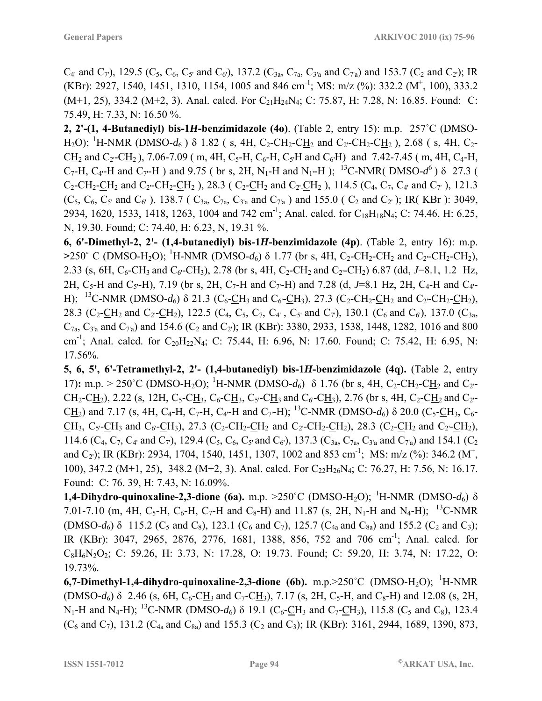$C_{4'}$  and  $C_{7}$ ), 129.5 ( $C_{5}$ ,  $C_{6}$ ,  $C_{5'}$  and  $C_{6'}$ ), 137.2 ( $C_{3a}$ ,  $C_{7a}$ ,  $C_{3'a}$  and  $C_{7a}$ ) and 153.7 ( $C_{2}$  and  $C_{2'}$ ); IR (KBr): 2927, 1540, 1451, 1310, 1154, 1005 and 846 cm<sup>-1</sup>; MS: m/z (%): 332.2 (M<sup>+</sup>, 100), 333.2  $(M+1, 25)$ , 334.2  $(M+2, 3)$ . Anal. calcd. For  $C_{21}H_{24}N_4$ ; C: 75.87, H: 7.28, N: 16.85. Found: C: 75.49, H: 7.33, N: 16.50 %.

**2, 2'-(1, 4-Butanediyl) bis-1***H***-benzimidazole (4o)**. (Table 2, entry 15): m.p. 257˚C (DMSO-H<sub>2</sub>O); <sup>1</sup>H-NMR (DMSO-d<sub>6</sub>) δ 1.82 (s, 4H, C<sub>2</sub>-CH<sub>2</sub>-C<u>H</u><sub>2</sub> and C<sub>2</sub>-CH<sub>2</sub>-C<u>H</u><sub>2</sub>), 2.68 (s, 4H, C<sub>2</sub>- $CH_2$  and  $C_2$ -CH<sub>2</sub>), 7.06-7.09 (m, 4H, C<sub>5</sub>-H, C<sub>6</sub>-H, C<sub>5</sub>·H and C<sub>6</sub>·H) and 7.42-7.45 (m, 4H, C<sub>4</sub>-H,  $C_7$ -H,  $C_4$ -H and  $C_7$ -H) and 9.75 ( br s, 2H, N<sub>1</sub>-H and N<sub>1'</sub>-H); <sup>13</sup>C-NMR( DMSO- $d^6$ )  $\delta$  27.3 (  $C_2$ -CH<sub>2</sub>-CH<sub>2</sub> and C<sub>2</sub><sup>-</sup>-CH<sub>2</sub>-CH<sub>2</sub>), 28.3 (C<sub>2</sub>-CH<sub>2</sub> and C<sub>2</sub><sup>-</sup>-CH<sub>2</sub>), 114.5 (C<sub>4</sub>, C<sub>4</sub><sup>-</sup>, C<sub>4</sub><sup>*·*</sup> and C<sub>7</sub><sup>*·*</sup>), 121.3  $(C_5, C_6, C_5$  and  $C_6$ '), 138.7 ( $C_{3a}$ ,  $C_{7a}$ ,  $C_{3'a}$  and  $C_{7a}$ ) and 155.0 ( $C_2$  and  $C_2$ '); IR(KBr): 3049, 2934, 1620, 1533, 1418, 1263, 1004 and 742 cm<sup>-1</sup>; Anal. calcd. for C<sub>18</sub>H<sub>18</sub>N<sub>4</sub>; C: 74.46, H: 6.25, N, 19.30. Found; C: 74.40, H: 6.23, N, 19.31 %.

**6, 6'-Dimethyl-2, 2'- (1,4-butanediyl) bis-1***H***-benzimidazole (4p)**. (Table 2, entry 16): m.p. >250<sup>°</sup> C (DMSO-H<sub>2</sub>O); <sup>1</sup>H-NMR (DMSO-*d*<sub>6</sub>) δ 1.77 (br s, 4H, C<sub>2</sub>-CH<sub>2</sub>-C<u>H</u><sub>2</sub> and C<sub>2</sub><sup>-</sup>CH<sub>2</sub>-C<u>H</u><sub>2</sub>), 2.33 (s, 6H, C<sub>6</sub>-CH<sub>3</sub> and C<sub>6</sub>-CH<sub>3</sub>), 2.78 (br s, 4H, C<sub>2</sub>-C<u>H<sub>2</sub></u> and C<sub>2</sub>-C<u>H<sub>2</sub></u>) 6.87 (dd, *J*=8.1, 1.2 Hz, 2H, C<sub>5</sub>-H and C<sub>5'</sub>-H), 7.19 (br s, 2H, C<sub>7</sub>-H and C<sub>7'</sub>-H) and 7.28 (d, J=8.1 Hz, 2H, C<sub>4</sub>-H and C<sub>4'</sub>-H); <sup>13</sup>C-NMR (DMSO-*d*<sub>6</sub>)  $\delta$  21.3 (C<sub>6</sub>-CH<sub>3</sub> and C<sub>6</sub>-CH<sub>3</sub>), 27.3 (C<sub>2</sub>-CH<sub>2</sub>-CH<sub>2</sub> and C<sub>2</sub>-CH<sub>2</sub>-CH<sub>2</sub>), 28.3 (C<sub>2</sub>-CH<sub>2</sub> and C<sub>2</sub>-CH<sub>2</sub>), 122.5 (C<sub>4</sub>, C<sub>5</sub>, C<sub>7</sub>, C<sub>4</sub>', C<sub>5</sub>' and C<sub>7</sub>'), 130.1 (C<sub>6</sub> and C<sub>6</sub>'), 137.0 (C<sub>3a</sub>,  $C_{7a}$ ,  $C_{3'a}$  and  $C_{7a}$ ) and 154.6 ( $C_2$  and  $C_2$ ); IR (KBr): 3380, 2933, 1538, 1448, 1282, 1016 and 800 cm<sup>-1</sup>; Anal. calcd. for C<sub>20</sub>H<sub>22</sub>N<sub>4</sub>; C: 75.44, H: 6.96, N: 17.60. Found; C: 75.42, H: 6.95, N: 17.56%.

**5, 6, 5', 6'-Tetramethyl-2, 2'- (1,4-butanediyl) bis-1***H***-benzimidazole (4q).** (Table 2, entry 17): m.p. > 250°C (DMSO-H<sub>2</sub>O); <sup>1</sup>H-NMR (DMSO-d<sub>6</sub>) δ 1.76 (br s, 4H, C<sub>2</sub>-CH<sub>2</sub>-C<u>H</u><sub>2</sub> and C<sub>2</sub>- $CH_2-CH_2$ ), 2.22 (s, 12H, C<sub>5</sub>-CH<sub>3</sub>, C<sub>6</sub>-CH<sub>3</sub>, C<sub>5</sub>-CH<sub>3</sub> and C<sub>6</sub>-CH<sub>3</sub>), 2.76 (br s, 4H, C<sub>2</sub>-CH<sub>2</sub> and C<sub>2</sub>-CH<sub>2</sub>) and 7.17 (s, 4H, C<sub>4</sub>-H, C<sub>7</sub>-H, C<sub>4</sub>-H and C<sub>7</sub>-H); <sup>13</sup>C-NMR (DMSO- $d_6$ )  $\delta$  20.0 (C<sub>5</sub>-CH<sub>3</sub>, C<sub>6</sub>- $CH_3$ ,  $C_5$ -CH<sub>3</sub> and  $C_6$ -CH<sub>3</sub>), 27.3 (C<sub>2</sub>-CH<sub>2</sub>-CH<sub>2</sub> and C<sub>2</sub><sup>-CH<sub>2</sub>-CH<sub>2</sub>), 28.3 (C<sub>2</sub>-CH<sub>2</sub> and C<sub>2</sub><sup>-</sup>CH<sub>2</sub>),</sup> 114.6 (C<sub>4</sub>, C<sub>7</sub>, C<sub>4</sub>' and C<sub>7</sub>'), 129.4 (C<sub>5</sub>, C<sub>6</sub>, C<sub>5</sub>' and C<sub>6</sub>'), 137.3 (C<sub>3a</sub>, C<sub>7a</sub>, C<sub>3'a</sub> and C<sub>7'a</sub>) and 154.1 (C<sub>2</sub>) and C<sub>2</sub><sup>)</sup>; IR (KBr): 2934, 1704, 1540, 1451, 1307, 1002 and 853 cm<sup>-1</sup>; MS: m/z (%): 346.2 (M<sup>+</sup>, 100), 347.2 (M+1, 25), 348.2 (M+2, 3). Anal. calcd. For C<sub>22</sub>H<sub>26</sub>N<sub>4</sub>; C: 76.27, H: 7.56, N: 16.17. Found: C: 76. 39, H: 7.43, N: 16.09%.

**1,4-Dihydro-quinoxaline-2,3-dione** (6a). m.p. >250°C (DMSO-H<sub>2</sub>O); <sup>1</sup>H-NMR (DMSO-d<sub>6</sub>) δ 7.01-7.10 (m, 4H, C<sub>5</sub>-H, C<sub>6</sub>-H, C<sub>7</sub>-H and C<sub>8</sub>-H) and 11.87 (s, 2H, N<sub>1</sub>-H and N<sub>4</sub>-H); <sup>13</sup>C-NMR  $(DMSO-d<sub>6</sub>)$  δ 115.2 (C<sub>5</sub> and C<sub>8</sub>), 123.1 (C<sub>6</sub> and C<sub>7</sub>), 125.7 (C<sub>4a</sub> and C<sub>8a</sub>) and 155.2 (C<sub>2</sub> and C<sub>3</sub>); IR (KBr): 3047, 2965, 2876, 2776, 1681, 1388, 856, 752 and 706 cm-1; Anal. calcd. for C8H6N2O2; C: 59.26, H: 3.73, N: 17.28, O: 19.73. Found; C: 59.20, H: 3.74, N: 17.22, O: 19.73%.

**6,7-Dimethyl-1,4-dihydro-quinoxaline-2,3-dione (6b).** m.p.>250°C (DMSO-H<sub>2</sub>O); <sup>1</sup>H-NMR  $(DMSO-d<sub>6</sub>)$  δ 2.46 (s, 6H, C<sub>6</sub>-CH<sub>3</sub> and C<sub>7</sub>-CH<sub>3</sub>), 7.17 (s, 2H, C<sub>5</sub>-H, and C<sub>8</sub>-H) and 12.08 (s, 2H, N<sub>1</sub>-H and N<sub>4</sub>-H); <sup>13</sup>C-NMR (DMSO- $d_6$ )  $\delta$  19.1 (C<sub>6</sub>-CH<sub>3</sub> and C<sub>7</sub>-CH<sub>3</sub>), 115.8 (C<sub>5</sub> and C<sub>8</sub>), 123.4  $(C_6$  and  $C_7$ ), 131.2  $(C_{4a}$  and  $C_{8a}$ ) and 155.3  $(C_2$  and  $C_3)$ ; IR (KBr): 3161, 2944, 1689, 1390, 873,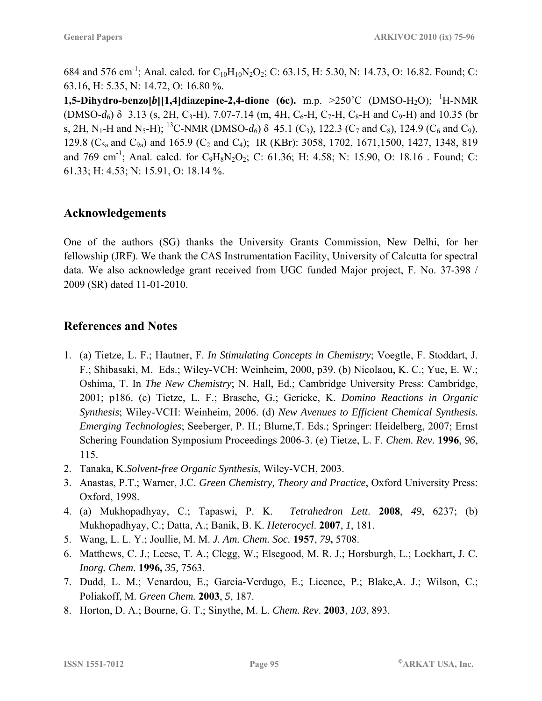684 and 576 cm<sup>-1</sup>; Anal. calcd. for C<sub>10</sub>H<sub>10</sub>N<sub>2</sub>O<sub>2</sub>; C: 63.15, H: 5.30, N: 14.73, O: 16.82. Found; C: 63.16, H: 5.35, N: 14.72, O: 16.80 %.

**1,5-Dihydro-benzo[b][1,4]diazepine-2,4-dione (6c).** m.p. >250°C (DMSO-H<sub>2</sub>O); <sup>1</sup>H-NMR  $(DMSO-d<sub>6</sub>)$  δ 3.13 (s, 2H, C<sub>3</sub>-H), 7.07-7.14 (m, 4H, C<sub>6</sub>-H, C<sub>7</sub>-H, C<sub>8</sub>-H and C<sub>9</sub>-H) and 10.35 (br s, 2H, N<sub>1</sub>-H and N<sub>5</sub>-H); <sup>13</sup>C-NMR (DMSO- $d_6$ )  $\delta$  45.1 (C<sub>3</sub>), 122.3 (C<sub>7</sub> and C<sub>8</sub>), 124.9 (C<sub>6</sub> and C<sub>9</sub>), 129.8 (C<sub>5a</sub> and C<sub>9a</sub>) and 165.9 (C<sub>2</sub> and C<sub>4</sub>); IR (KBr): 3058, 1702, 1671, 1500, 1427, 1348, 819 and 769 cm<sup>-1</sup>; Anal. calcd. for  $C_9H_8N_2O_2$ ; C: 61.36; H: 4.58; N: 15.90, O: 18.16 . Found; C: 61.33; H: 4.53; N: 15.91, O: 18.14 %.

### **Acknowledgements**

One of the authors (SG) thanks the University Grants Commission, New Delhi, for her fellowship (JRF). We thank the CAS Instrumentation Facility, University of Calcutta for spectral data. We also acknowledge grant received from UGC funded Major project, F. No. 37-398 / 2009 (SR) dated 11-01-2010.

### **References and Notes**

- 1. (a) Tietze, L. F.; Hautner, F. *In Stimulating Concepts in Chemistry*; Voegtle, F. Stoddart, J. F.; Shibasaki, M. Eds.; Wiley-VCH: Weinheim, 2000, p39. (b) Nicolaou, K. C.; Yue, E. W.; Oshima, T. In *The New Chemistry*; N. Hall, Ed.; Cambridge University Press: Cambridge, 2001; p186. (c) Tietze, L. F.; Brasche, G.; Gericke, K. *Domino Reactions in Organic Synthesis*; Wiley-VCH: Weinheim, 2006. (d) *New Avenues to Efficient Chemical Synthesis. Emerging Technologies*; Seeberger, P. H.; Blume,T. Eds.; Springer: Heidelberg, 2007; Ernst Schering Foundation Symposium Proceedings 2006-3. (e) Tietze, L. F. *Chem. Rev.* **1996**, *96*, 115.
- 2. Tanaka, K.*Solvent-free Organic Synthesis*, Wiley-VCH, 2003.
- 3. Anastas, P.T.; Warner, J.C. *Green Chemistry, Theory and Practice*, Oxford University Press: Oxford, 1998.
- 4. (a) Mukhopadhyay, C.; Tapaswi, P. K. *Tetrahedron Lett*. **2008**, *49*, 6237; (b) Mukhopadhyay, C.; Datta, A.; Banik, B. K. *Heterocycl*. **2007**, *1*, 181.
- 5. Wang, L. L. Y.; Joullie, M. M. *J. Am. Chem. Soc.* **1957**, *79***,** 5708.
- 6. Matthews, C. J.; Leese, T. A.; Clegg, W.; Elsegood, M. R. J.; Horsburgh, L.; Lockhart, J. C. *Inorg. Chem.* **1996,** *35,* 7563.
- 7. Dudd, L. M.; Venardou, E.; Garcia-Verdugo, E.; Licence, P.; Blake,A. J.; Wilson, C.; Poliakoff, M. *Green Chem.* **2003**, *5*, 187.
- 8. Horton, D. A.; Bourne, G. T.; Sinythe, M. L. *Chem. Rev*. **2003**, *103*, 893.